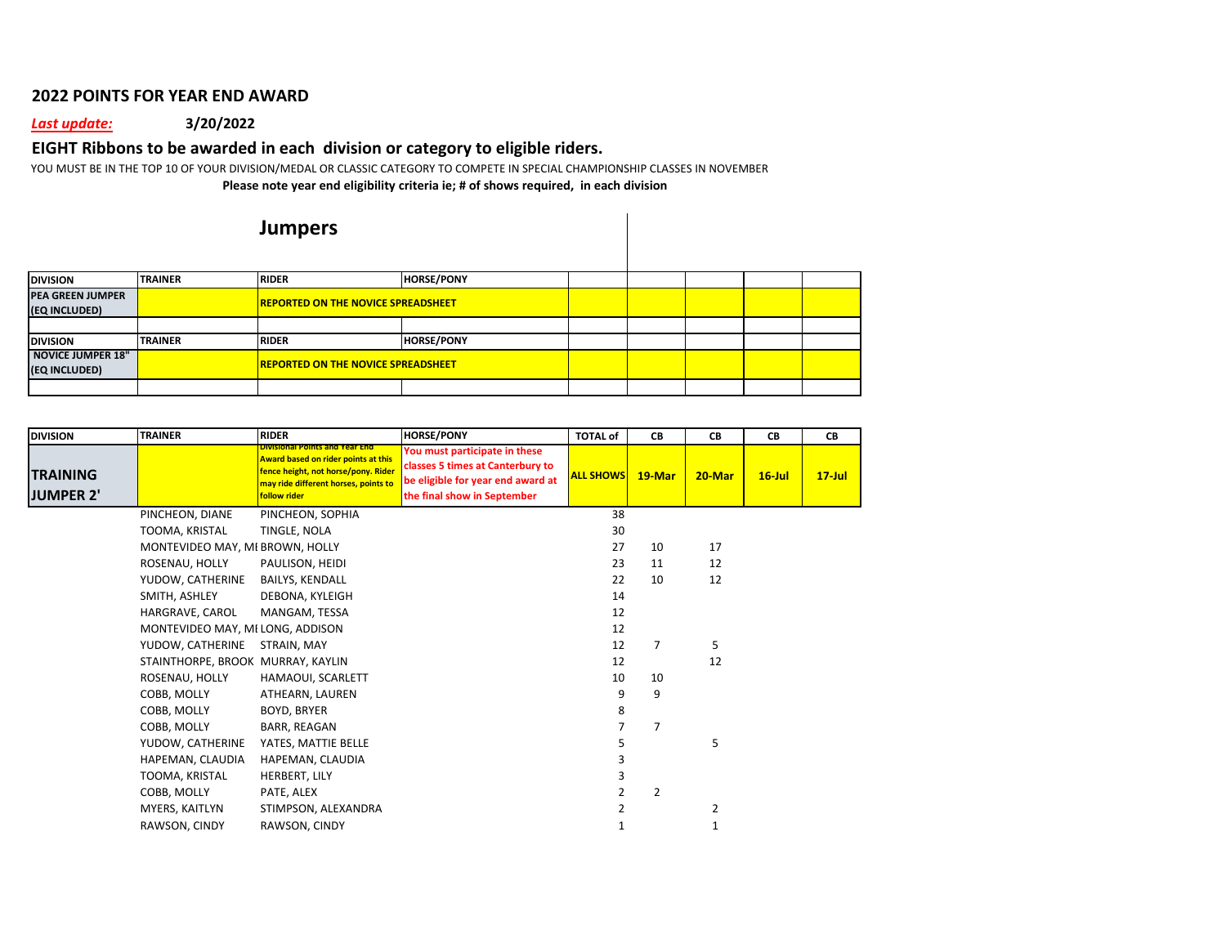## **2022 POINTS FOR YEAR END AWARD**

## *Last update:* **3/20/2022**

## **EIGHT Ribbons to be awarded in each division or category to eligible riders.**

YOU MUST BE IN THE TOP 10 OF YOUR DIVISION/MEDAL OR CLASSIC CATEGORY TO COMPETE IN SPECIAL CHAMPIONSHIP CLASSES IN NOVEMBER **Please note year end eligibility criteria ie; # of shows required, in each division**

## **Jumpers**

| <b>DIVISION</b>         | <b>TRAINER</b> | <b>RIDER</b>                              | <b>HORSE/PONY</b> |  |  |  |
|-------------------------|----------------|-------------------------------------------|-------------------|--|--|--|
| <b>PEA GREEN JUMPER</b> |                | <b>REPORTED ON THE NOVICE SPREADSHEET</b> |                   |  |  |  |
| (EQ INCLUDED)           |                |                                           |                   |  |  |  |
|                         |                |                                           |                   |  |  |  |
| <b>DIVISION</b>         | <b>TRAINER</b> | <b>RIDER</b>                              | <b>HORSE/PONY</b> |  |  |  |
| NOVICE JUMPER 18"       |                |                                           |                   |  |  |  |
| (EQ INCLUDED)           |                | <b>REPORTED ON THE NOVICE SPREADSHEET</b> |                   |  |  |  |
|                         |                |                                           |                   |  |  |  |

| <b>DIVISION</b>                     | <b>TRAINER</b>                    | <b>RIDER</b>                                                                                                                                                                | <b>HORSE/PONY</b>                                                                                                                     | <b>TOTAL of</b>  | CВ     | СB     | CВ        | CВ        |
|-------------------------------------|-----------------------------------|-----------------------------------------------------------------------------------------------------------------------------------------------------------------------------|---------------------------------------------------------------------------------------------------------------------------------------|------------------|--------|--------|-----------|-----------|
| <b>TRAINING</b><br><b>JUMPER 2'</b> |                                   | <b>Divisional Points and Year End</b><br>Award based on rider points at this<br>fence height, not horse/pony. Rider<br>may ride different horses, points to<br>follow rider | You must participate in these<br>classes 5 times at Canterbury to<br>be eligible for year end award at<br>the final show in September | <b>ALL SHOWS</b> | 19-Mar | 20-Mar | $16$ -Jul | $17$ -Jul |
|                                     | PINCHEON, DIANE                   | PINCHEON, SOPHIA                                                                                                                                                            |                                                                                                                                       | 38               |        |        |           |           |
|                                     | TOOMA, KRISTAL                    | TINGLE, NOLA                                                                                                                                                                |                                                                                                                                       | 30               |        |        |           |           |
|                                     | MONTEVIDEO MAY, MI BROWN, HOLLY   |                                                                                                                                                                             |                                                                                                                                       | 27               | 10     | 17     |           |           |
|                                     | ROSENAU, HOLLY                    | PAULISON, HEIDI                                                                                                                                                             |                                                                                                                                       | 23               | 11     | 12     |           |           |
|                                     | YUDOW, CATHERINE                  | <b>BAILYS, KENDALL</b>                                                                                                                                                      |                                                                                                                                       | 22               | 10     | 12     |           |           |
|                                     | SMITH, ASHLEY                     | DEBONA, KYLEIGH                                                                                                                                                             |                                                                                                                                       | 14               |        |        |           |           |
|                                     | HARGRAVE, CAROL                   | MANGAM, TESSA                                                                                                                                                               |                                                                                                                                       | 12               |        |        |           |           |
|                                     | MONTEVIDEO MAY, MI LONG, ADDISON  |                                                                                                                                                                             |                                                                                                                                       | 12               |        |        |           |           |
|                                     | YUDOW, CATHERINE                  | STRAIN, MAY                                                                                                                                                                 |                                                                                                                                       | 12               | 7      | 5      |           |           |
|                                     | STAINTHORPE, BROOK MURRAY, KAYLIN |                                                                                                                                                                             |                                                                                                                                       | 12               |        | 12     |           |           |
|                                     | ROSENAU, HOLLY                    | HAMAOUI, SCARLETT                                                                                                                                                           |                                                                                                                                       | 10               | 10     |        |           |           |
|                                     | COBB, MOLLY                       | ATHEARN, LAUREN                                                                                                                                                             |                                                                                                                                       | 9                | 9      |        |           |           |
|                                     | COBB, MOLLY                       | BOYD, BRYER                                                                                                                                                                 |                                                                                                                                       | 8                |        |        |           |           |
|                                     | COBB, MOLLY                       | BARR, REAGAN                                                                                                                                                                |                                                                                                                                       |                  | 7      |        |           |           |
|                                     | YUDOW, CATHERINE                  | YATES, MATTIE BELLE                                                                                                                                                         |                                                                                                                                       |                  |        | 5      |           |           |
|                                     | HAPEMAN, CLAUDIA                  | HAPEMAN, CLAUDIA                                                                                                                                                            |                                                                                                                                       |                  |        |        |           |           |
|                                     | TOOMA, KRISTAL                    | HERBERT, LILY                                                                                                                                                               |                                                                                                                                       |                  |        |        |           |           |
|                                     | COBB, MOLLY                       | PATE, ALEX                                                                                                                                                                  |                                                                                                                                       | 2                | 2      |        |           |           |
|                                     | MYERS, KAITLYN                    | STIMPSON, ALEXANDRA                                                                                                                                                         |                                                                                                                                       | 2                |        | 2      |           |           |
|                                     | RAWSON, CINDY                     | RAWSON, CINDY                                                                                                                                                               |                                                                                                                                       |                  |        | 1      |           |           |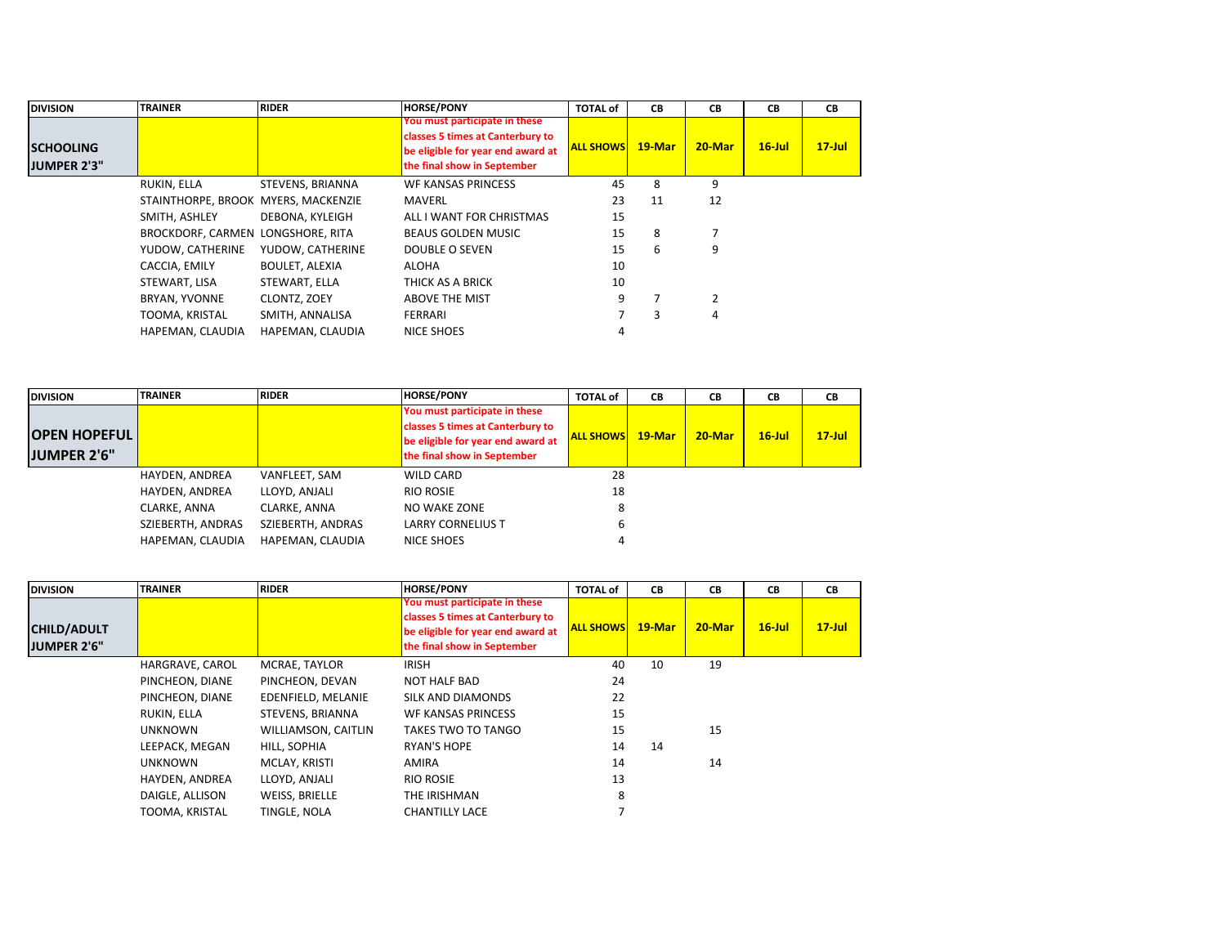| <b>DIVISION</b>    | <b>TRAINER</b>                      | <b>RIDER</b>          | <b>HORSE/PONY</b>                 | <b>TOTAL of</b>  | CB        | <b>CB</b>      | CВ        | <b>CB</b> |
|--------------------|-------------------------------------|-----------------------|-----------------------------------|------------------|-----------|----------------|-----------|-----------|
|                    |                                     |                       | You must participate in these     |                  |           |                |           |           |
|                    |                                     |                       | classes 5 times at Canterbury to  |                  |           |                |           |           |
| <b>SCHOOLING</b>   |                                     |                       | be eligible for year end award at | <b>ALL SHOWS</b> | $19$ -Mar | $20$ -Mar      | $16$ -Jul | $17$ -Jul |
| <b>JUMPER 2'3"</b> |                                     |                       | the final show in September       |                  |           |                |           |           |
|                    | RUKIN, ELLA                         | STEVENS, BRIANNA      | <b>WF KANSAS PRINCESS</b>         | 45               | 8         | 9              |           |           |
|                    | STAINTHORPE, BROOK MYERS, MACKENZIE |                       | MAVERL                            | 23               | 11        | 12             |           |           |
|                    | SMITH, ASHLEY                       | DEBONA, KYLEIGH       | ALL I WANT FOR CHRISTMAS          | 15               |           |                |           |           |
|                    | BROCKDORF, CARMEN LONGSHORE, RITA   |                       | <b>BEAUS GOLDEN MUSIC</b>         | 15               | 8         | 7              |           |           |
|                    | YUDOW, CATHERINE                    | YUDOW, CATHERINE      | DOUBLE O SEVEN                    | 15               | 6         | 9              |           |           |
|                    | CACCIA, EMILY                       | <b>BOULET, ALEXIA</b> | ALOHA                             | 10               |           |                |           |           |
|                    | STEWART, LISA                       | STEWART, ELLA         | THICK AS A BRICK                  | 10               |           |                |           |           |
|                    | BRYAN, YVONNE                       | CLONTZ, ZOEY          | ABOVE THE MIST                    | 9                |           | $\overline{2}$ |           |           |
|                    | TOOMA, KRISTAL                      | SMITH, ANNALISA       | FERRARI                           |                  | 3         | 4              |           |           |
|                    | HAPEMAN, CLAUDIA                    | HAPEMAN, CLAUDIA      | NICE SHOES                        | 4                |           |                |           |           |

| <b>DIVISION</b>                    | <b>TRAINER</b>    | <b>RIDER</b>      | <b>HORSE/PONY</b>                                                                                                                     | <b>TOTAL of</b>  | CВ        | CВ        | CВ        | CB        |
|------------------------------------|-------------------|-------------------|---------------------------------------------------------------------------------------------------------------------------------------|------------------|-----------|-----------|-----------|-----------|
| <b>OPEN HOPEFUL</b><br>JUMPER 2'6" |                   |                   | You must participate in these<br>classes 5 times at Canterbury to<br>be eligible for year end award at<br>the final show in September | <b>ALL SHOWS</b> | $19$ -Mar | $20$ -Mar | $16$ -Jul | $17$ -Jul |
|                                    | HAYDEN, ANDREA    | VANFLEET, SAM     | WILD CARD                                                                                                                             | 28               |           |           |           |           |
|                                    | HAYDEN, ANDREA    | LLOYD, ANJALI     | <b>RIO ROSIE</b>                                                                                                                      | 18               |           |           |           |           |
|                                    | CLARKE, ANNA      | CLARKE, ANNA      | NO WAKE ZONE                                                                                                                          | O                |           |           |           |           |
|                                    | SZIEBERTH, ANDRAS | SZIEBERTH, ANDRAS | <b>LARRY CORNELIUS T</b>                                                                                                              | b                |           |           |           |           |
|                                    | HAPEMAN, CLAUDIA  | HAPEMAN, CLAUDIA  | NICE SHOES                                                                                                                            |                  |           |           |           |           |

| <b>DIVISION</b>                   | <b>TRAINER</b>  | <b>RIDER</b>        | <b>HORSE/PONY</b>                                                                                                                     | <b>TOTAL of</b>  | CB        | <b>CB</b> | CВ        | <b>CB</b> |
|-----------------------------------|-----------------|---------------------|---------------------------------------------------------------------------------------------------------------------------------------|------------------|-----------|-----------|-----------|-----------|
| <b>CHILD/ADULT</b><br>JUMPER 2'6" |                 |                     | You must participate in these<br>classes 5 times at Canterbury to<br>be eligible for year end award at<br>the final show in September | <b>ALL SHOWS</b> | $19$ -Mar | $20$ -Mar | $16$ -Jul | $17$ -Jul |
|                                   | HARGRAVE, CAROL | MCRAE, TAYLOR       | <b>IRISH</b>                                                                                                                          | 40               | 10        | 19        |           |           |
|                                   | PINCHEON, DIANE | PINCHEON, DEVAN     | <b>NOT HALF BAD</b>                                                                                                                   | 24               |           |           |           |           |
|                                   | PINCHEON, DIANE | EDENFIELD, MELANIE  | SILK AND DIAMONDS                                                                                                                     | 22               |           |           |           |           |
|                                   | RUKIN, ELLA     | STEVENS, BRIANNA    | <b>WF KANSAS PRINCESS</b>                                                                                                             | 15               |           |           |           |           |
|                                   | <b>UNKNOWN</b>  | WILLIAMSON, CAITLIN | TAKES TWO TO TANGO                                                                                                                    | 15               |           | 15        |           |           |
|                                   | LEEPACK, MEGAN  | HILL, SOPHIA        | <b>RYAN'S HOPE</b>                                                                                                                    | 14               | 14        |           |           |           |
|                                   | <b>UNKNOWN</b>  | MCLAY, KRISTI       | AMIRA                                                                                                                                 | 14               |           | 14        |           |           |
|                                   | HAYDEN, ANDREA  | LLOYD, ANJALI       | <b>RIO ROSIE</b>                                                                                                                      | 13               |           |           |           |           |
|                                   | DAIGLE, ALLISON | WEISS, BRIELLE      | THE IRISHMAN                                                                                                                          | 8                |           |           |           |           |
|                                   | TOOMA, KRISTAL  | TINGLE, NOLA        | <b>CHANTILLY LACE</b>                                                                                                                 |                  |           |           |           |           |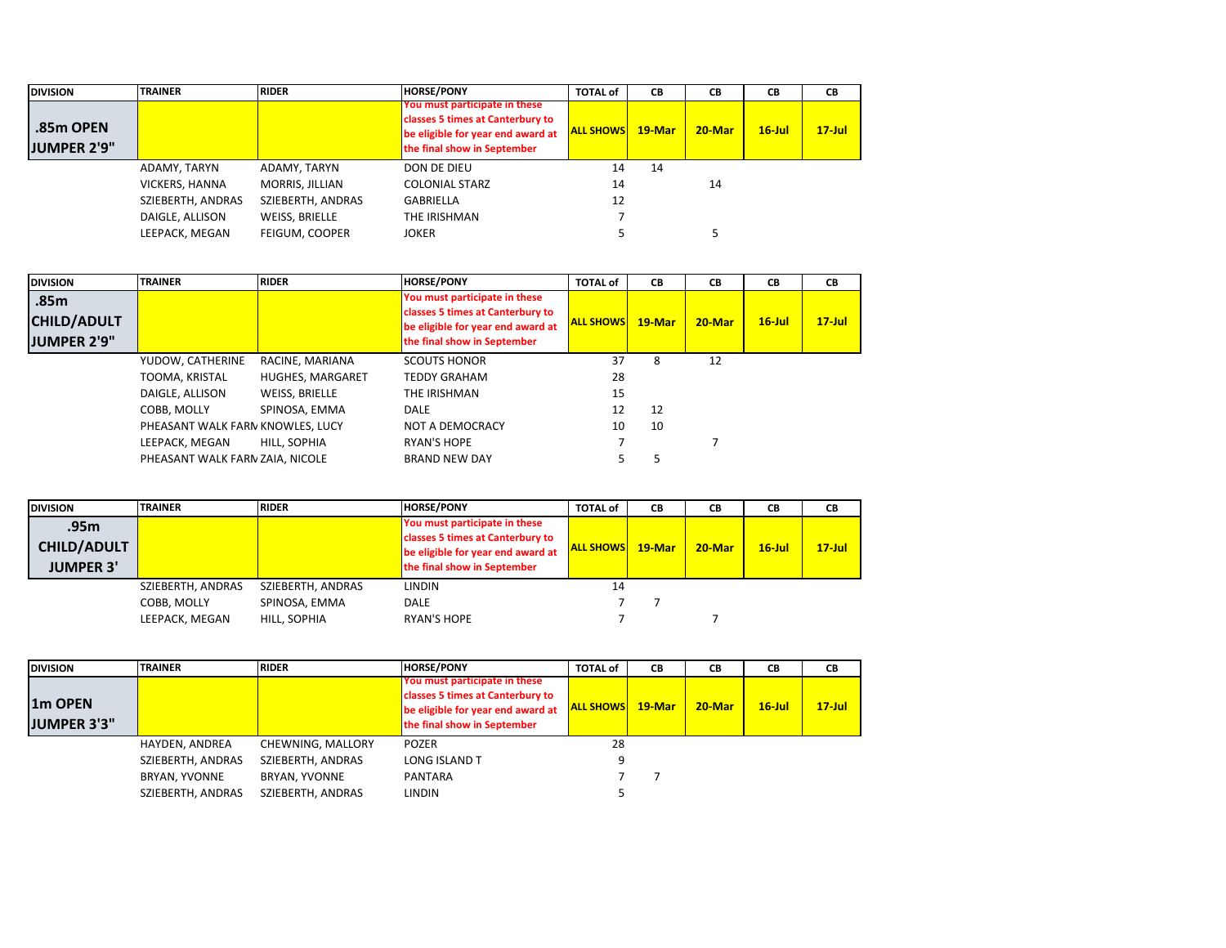| <b>DIVISION</b>                 | <b>TRAINER</b>    | <b>RIDER</b>      | <b>HORSE/PONY</b>                                                                                                                     | <b>TOTAL of</b>  | CВ        | CВ        | CВ        | CВ        |
|---------------------------------|-------------------|-------------------|---------------------------------------------------------------------------------------------------------------------------------------|------------------|-----------|-----------|-----------|-----------|
| .85m OPEN<br><b>JUMPER 2'9"</b> |                   |                   | You must participate in these<br>classes 5 times at Canterbury to<br>be eligible for year end award at<br>the final show in September | <b>ALL SHOWS</b> | $19$ -Mar | $20$ -Mar | $16$ -Jul | $17$ -Jul |
|                                 | ADAMY, TARYN      | ADAMY, TARYN      | DON DE DIEU                                                                                                                           | 14               | 14        |           |           |           |
|                                 | VICKERS, HANNA    | MORRIS, JILLIAN   | <b>COLONIAL STARZ</b>                                                                                                                 | 14               |           | 14        |           |           |
|                                 | SZIEBERTH, ANDRAS | SZIEBERTH, ANDRAS | <b>GABRIELLA</b>                                                                                                                      | 12               |           |           |           |           |
|                                 | DAIGLE, ALLISON   | WEISS, BRIELLE    | THE IRISHMAN                                                                                                                          |                  |           |           |           |           |
|                                 | LEEPACK, MEGAN    | FEIGUM, COOPER    | <b>JOKER</b>                                                                                                                          |                  |           |           |           |           |

| <b>DIVISION</b>                                  | <b>TRAINER</b>                   | <b>RIDER</b>            | <b>HORSE/PONY</b>                                                                                                                     | <b>TOTAL of</b>  | CВ        | CВ     | CВ        | <b>CB</b> |
|--------------------------------------------------|----------------------------------|-------------------------|---------------------------------------------------------------------------------------------------------------------------------------|------------------|-----------|--------|-----------|-----------|
| .85m<br><b>CHILD/ADULT</b><br><b>JUMPER 2'9"</b> |                                  |                         | You must participate in these<br>classes 5 times at Canterbury to<br>be eligible for year end award at<br>the final show in September | <b>ALL SHOWS</b> | $19$ -Mar | 20-Mar | $16$ -Jul | $17$ -Jul |
|                                                  | YUDOW, CATHERINE                 | RACINE, MARIANA         | <b>SCOUTS HONOR</b>                                                                                                                   | 37               | 8         | 12     |           |           |
|                                                  | TOOMA, KRISTAL                   | <b>HUGHES, MARGARET</b> | <b>TEDDY GRAHAM</b>                                                                                                                   | 28               |           |        |           |           |
|                                                  | DAIGLE, ALLISON                  | WEISS, BRIELLE          | THE IRISHMAN                                                                                                                          | 15               |           |        |           |           |
|                                                  | COBB. MOLLY                      | SPINOSA, EMMA           | <b>DALE</b>                                                                                                                           | 12               | 12        |        |           |           |
|                                                  | PHEASANT WALK FARN KNOWLES, LUCY |                         | NOT A DEMOCRACY                                                                                                                       | 10               | 10        |        |           |           |
|                                                  | LEEPACK. MEGAN                   | HILL, SOPHIA            | <b>RYAN'S HOPE</b>                                                                                                                    |                  |           |        |           |           |
|                                                  | PHEASANT WALK FARN ZAIA, NICOLE  |                         | <b>BRAND NEW DAY</b>                                                                                                                  |                  |           |        |           |           |

| <b>DIVISION</b>    | <b>TRAINER</b>    | <b>RIDER</b>      | <b>HORSE/PONY</b>                 | <b>TOTAL of</b>  | CВ        | СB        | CВ        | CВ        |
|--------------------|-------------------|-------------------|-----------------------------------|------------------|-----------|-----------|-----------|-----------|
| .95m               |                   |                   | You must participate in these     |                  |           |           |           |           |
| <b>CHILD/ADULT</b> |                   |                   | classes 5 times at Canterbury to  | <b>ALL SHOWS</b> | $19$ -Mar | $20$ -Mar | $16$ -Jul | $17$ -Jul |
|                    |                   |                   | be eligible for year end award at |                  |           |           |           |           |
| <b>JUMPER 3'</b>   |                   |                   | the final show in September       |                  |           |           |           |           |
|                    | SZIEBERTH, ANDRAS | SZIEBERTH, ANDRAS | LINDIN                            | 14               |           |           |           |           |
|                    | COBB. MOLLY       | SPINOSA, EMMA     | <b>DALE</b>                       |                  |           |           |           |           |
|                    | LEEPACK, MEGAN    | HILL, SOPHIA      | <b>RYAN'S HOPE</b>                |                  |           |           |           |           |

| <b>DIVISION</b>     | <b>TRAINER</b>    | <b>RIDER</b>      | <b>HORSE/PONY</b>                                                 | <b>TOTAL of</b>  | CВ        | CВ     | CВ        | CВ        |
|---------------------|-------------------|-------------------|-------------------------------------------------------------------|------------------|-----------|--------|-----------|-----------|
|                     |                   |                   | You must participate in these<br>classes 5 times at Canterbury to |                  |           |        |           |           |
| 1 <sub>m</sub> OPEN |                   |                   | be eligible for year end award at                                 | <b>ALL SHOWS</b> | $19$ -Mar | 20-Mar | $16$ -Jul | $17$ -Jul |
| JUMPER 3'3"         |                   |                   | the final show in September                                       |                  |           |        |           |           |
|                     | HAYDEN, ANDREA    | CHEWNING, MALLORY | <b>POZER</b>                                                      | 28               |           |        |           |           |
|                     | SZIEBERTH, ANDRAS | SZIEBERTH, ANDRAS | <b>LONG ISLAND T</b>                                              |                  |           |        |           |           |
|                     | BRYAN, YVONNE     | BRYAN, YVONNE     | PANTARA                                                           |                  |           |        |           |           |
|                     | SZIEBERTH, ANDRAS | SZIEBERTH, ANDRAS | <b>LINDIN</b>                                                     |                  |           |        |           |           |